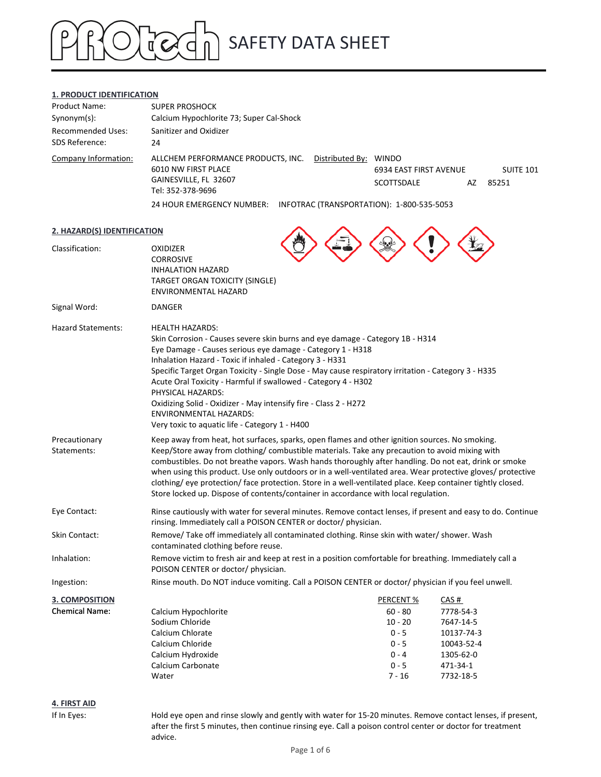### SAFETY DATA SHEET  $\mathfrak{a}'$

### **1. PRODUCT IDENTIFICATION**

| <b>Product Name:</b>     | <b>SUPER PROSHOCK</b>                                                              |                        |    |           |
|--------------------------|------------------------------------------------------------------------------------|------------------------|----|-----------|
| $Synonym(s)$ :           | Calcium Hypochlorite 73; Super Cal-Shock                                           |                        |    |           |
| <b>Recommended Uses:</b> | Sanitizer and Oxidizer                                                             |                        |    |           |
| SDS Reference:           | 24                                                                                 |                        |    |           |
| Company Information:     | Distributed By: WINDO<br>ALLCHEM PERFORMANCE PRODUCTS, INC.<br>6010 NW FIRST PLACE | 6934 EAST FIRST AVENUE |    | SUITE 101 |
|                          | GAINESVILLE, FL 32607<br>Tel: 352-378-9696                                         | <b>SCOTTSDALE</b>      | AZ | 85251     |
|                          | 24 HOUR EMERGENCY NUMBER:<br>INFOTRAC (TRANSPORTATION): 1-800-535-5053             |                        |    |           |

| 2. HAZARD(S) IDENTIFICATION  |                                                                                                                                                                                                                                                                                                                                                                                                                                                                                                                                                                                                                                |           |            |
|------------------------------|--------------------------------------------------------------------------------------------------------------------------------------------------------------------------------------------------------------------------------------------------------------------------------------------------------------------------------------------------------------------------------------------------------------------------------------------------------------------------------------------------------------------------------------------------------------------------------------------------------------------------------|-----------|------------|
| Classification:              | <b>OXIDIZER</b><br><b>CORROSIVE</b><br><b>INHALATION HAZARD</b><br>TARGET ORGAN TOXICITY (SINGLE)<br>ENVIRONMENTAL HAZARD                                                                                                                                                                                                                                                                                                                                                                                                                                                                                                      |           |            |
| Signal Word:                 | <b>DANGER</b>                                                                                                                                                                                                                                                                                                                                                                                                                                                                                                                                                                                                                  |           |            |
| <b>Hazard Statements:</b>    | <b>HEALTH HAZARDS:</b><br>Skin Corrosion - Causes severe skin burns and eye damage - Category 1B - H314<br>Eye Damage - Causes serious eye damage - Category 1 - H318<br>Inhalation Hazard - Toxic if inhaled - Category 3 - H331<br>Specific Target Organ Toxicity - Single Dose - May cause respiratory irritation - Category 3 - H335<br>Acute Oral Toxicity - Harmful if swallowed - Category 4 - H302<br>PHYSICAL HAZARDS:<br>Oxidizing Solid - Oxidizer - May intensify fire - Class 2 - H272<br><b>ENVIRONMENTAL HAZARDS:</b><br>Very toxic to aquatic life - Category 1 - H400                                         |           |            |
| Precautionary<br>Statements: | Keep away from heat, hot surfaces, sparks, open flames and other ignition sources. No smoking.<br>Keep/Store away from clothing/ combustible materials. Take any precaution to avoid mixing with<br>combustibles. Do not breathe vapors. Wash hands thoroughly after handling. Do not eat, drink or smoke<br>when using this product. Use only outdoors or in a well-ventilated area. Wear protective gloves/ protective<br>clothing/ eye protection/ face protection. Store in a well-ventilated place. Keep container tightly closed.<br>Store locked up. Dispose of contents/container in accordance with local regulation. |           |            |
| Eye Contact:                 | Rinse cautiously with water for several minutes. Remove contact lenses, if present and easy to do. Continue<br>rinsing. Immediately call a POISON CENTER or doctor/ physician.                                                                                                                                                                                                                                                                                                                                                                                                                                                 |           |            |
| Skin Contact:                | Remove/ Take off immediately all contaminated clothing. Rinse skin with water/ shower. Wash<br>contaminated clothing before reuse.                                                                                                                                                                                                                                                                                                                                                                                                                                                                                             |           |            |
| Inhalation:                  | Remove victim to fresh air and keep at rest in a position comfortable for breathing. Immediately call a<br>POISON CENTER or doctor/ physician.                                                                                                                                                                                                                                                                                                                                                                                                                                                                                 |           |            |
| Ingestion:                   | Rinse mouth. Do NOT induce vomiting. Call a POISON CENTER or doctor/ physician if you feel unwell.                                                                                                                                                                                                                                                                                                                                                                                                                                                                                                                             |           |            |
| <b>3. COMPOSITION</b>        |                                                                                                                                                                                                                                                                                                                                                                                                                                                                                                                                                                                                                                | PERCENT%  | CAS#       |
| <b>Chemical Name:</b>        | Calcium Hypochlorite                                                                                                                                                                                                                                                                                                                                                                                                                                                                                                                                                                                                           | $60 - 80$ | 7778-54-3  |
|                              | Sodium Chloride                                                                                                                                                                                                                                                                                                                                                                                                                                                                                                                                                                                                                | $10 - 20$ | 7647-14-5  |
|                              | Calcium Chlorate                                                                                                                                                                                                                                                                                                                                                                                                                                                                                                                                                                                                               | $0 - 5$   | 10137-74-3 |
|                              | Calcium Chloride                                                                                                                                                                                                                                                                                                                                                                                                                                                                                                                                                                                                               | $0 - 5$   | 10043-52-4 |
|                              | Calcium Hydroxide                                                                                                                                                                                                                                                                                                                                                                                                                                                                                                                                                                                                              | $0 - 4$   | 1305-62-0  |
|                              | Calcium Carbonate                                                                                                                                                                                                                                                                                                                                                                                                                                                                                                                                                                                                              | $0 - 5$   | 471-34-1   |
|                              | Water                                                                                                                                                                                                                                                                                                                                                                                                                                                                                                                                                                                                                          | $7 - 16$  | 7732-18-5  |
|                              |                                                                                                                                                                                                                                                                                                                                                                                                                                                                                                                                                                                                                                |           |            |

### **4. FIRST AID**

If In Eyes: Hold eye open and rinse slowly and gently with water for 15-20 minutes. Remove contact lenses, if present, after the first 5 minutes, then continue rinsing eye. Call a poison control center or doctor for treatment advice.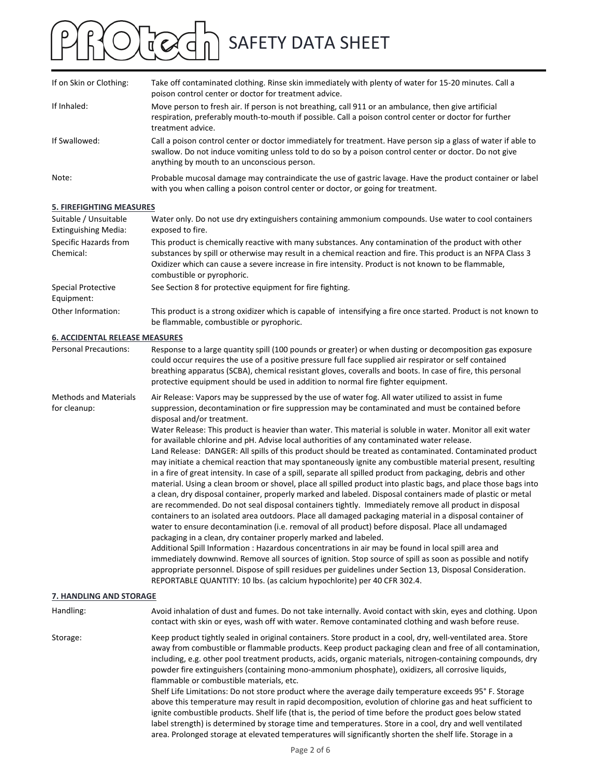| If on Skin or Clothing:         | Take off contaminated clothing. Rinse skin immediately with plenty of water for 15-20 minutes. Call a<br>poison control center or doctor for treatment advice.                                                                                                         |
|---------------------------------|------------------------------------------------------------------------------------------------------------------------------------------------------------------------------------------------------------------------------------------------------------------------|
| If Inhaled:                     | Move person to fresh air. If person is not breathing, call 911 or an ambulance, then give artificial<br>respiration, preferably mouth-to-mouth if possible. Call a poison control center or doctor for further<br>treatment advice.                                    |
| If Swallowed:                   | Call a poison control center or doctor immediately for treatment. Have person sip a glass of water if able to<br>swallow. Do not induce vomiting unless told to do so by a poison control center or doctor. Do not give<br>anything by mouth to an unconscious person. |
| Note:                           | Probable mucosal damage may contraindicate the use of gastric lavage. Have the product container or label<br>with you when calling a poison control center or doctor, or going for treatment.                                                                          |
| <b>F. FIDEFICUTING MEACURES</b> |                                                                                                                                                                                                                                                                        |

### **5. FIREFIGHTING MEASURES**

| Suitable / Unsuitable<br>Extinguishing Media: | Water only. Do not use dry extinguishers containing ammonium compounds. Use water to cool containers<br>exposed to fire.                                                                                                                                                                                                                                   |
|-----------------------------------------------|------------------------------------------------------------------------------------------------------------------------------------------------------------------------------------------------------------------------------------------------------------------------------------------------------------------------------------------------------------|
| Specific Hazards from<br>Chemical:            | This product is chemically reactive with many substances. Any contamination of the product with other<br>substances by spill or otherwise may result in a chemical reaction and fire. This product is an NFPA Class 3<br>Oxidizer which can cause a severe increase in fire intensity. Product is not known to be flammable,<br>combustible or pyrophoric. |
| <b>Special Protective</b><br>Equipment:       | See Section 8 for protective equipment for fire fighting.                                                                                                                                                                                                                                                                                                  |
| Other Information:                            | This product is a strong oxidizer which is capable of intensifying a fire once started. Product is not known to<br>be flammable, combustible or pyrophoric.                                                                                                                                                                                                |

### **6. ACCIDENTAL RELEASE MEASURES**

| <b>Personal Precautions:</b>                 | Response to a large quantity spill (100 pounds or greater) or when dusting or decomposition gas exposure<br>could occur requires the use of a positive pressure full face supplied air respirator or self contained<br>breathing apparatus (SCBA), chemical resistant gloves, coveralls and boots. In case of fire, this personal<br>protective equipment should be used in addition to normal fire fighter equipment.                                                                                                                                                                                                                                                                                                                                                                                                                                                                                                                                                                                                                                                                                                                                                                                                                                                                                                                                                                                                                                                                                                                                                                                                                                                                                                                                                                                                                        |
|----------------------------------------------|-----------------------------------------------------------------------------------------------------------------------------------------------------------------------------------------------------------------------------------------------------------------------------------------------------------------------------------------------------------------------------------------------------------------------------------------------------------------------------------------------------------------------------------------------------------------------------------------------------------------------------------------------------------------------------------------------------------------------------------------------------------------------------------------------------------------------------------------------------------------------------------------------------------------------------------------------------------------------------------------------------------------------------------------------------------------------------------------------------------------------------------------------------------------------------------------------------------------------------------------------------------------------------------------------------------------------------------------------------------------------------------------------------------------------------------------------------------------------------------------------------------------------------------------------------------------------------------------------------------------------------------------------------------------------------------------------------------------------------------------------------------------------------------------------------------------------------------------------|
| <b>Methods and Materials</b><br>for cleanup: | Air Release: Vapors may be suppressed by the use of water fog. All water utilized to assist in fume<br>suppression, decontamination or fire suppression may be contaminated and must be contained before<br>disposal and/or treatment.<br>Water Release: This product is heavier than water. This material is soluble in water. Monitor all exit water<br>for available chlorine and pH. Advise local authorities of any contaminated water release.<br>Land Release: DANGER: All spills of this product should be treated as contaminated. Contaminated product<br>may initiate a chemical reaction that may spontaneously ignite any combustible material present, resulting<br>in a fire of great intensity. In case of a spill, separate all spilled product from packaging, debris and other<br>material. Using a clean broom or shovel, place all spilled product into plastic bags, and place those bags into<br>a clean, dry disposal container, properly marked and labeled. Disposal containers made of plastic or metal<br>are recommended. Do not seal disposal containers tightly. Immediately remove all product in disposal<br>containers to an isolated area outdoors. Place all damaged packaging material in a disposal container of<br>water to ensure decontamination (i.e. removal of all product) before disposal. Place all undamaged<br>packaging in a clean, dry container properly marked and labeled.<br>Additional Spill Information : Hazardous concentrations in air may be found in local spill area and<br>immediately downwind. Remove all sources of ignition. Stop source of spill as soon as possible and notify<br>appropriate personnel. Dispose of spill residues per guidelines under Section 13, Disposal Consideration.<br>REPORTABLE QUANTITY: 10 lbs. (as calcium hypochlorite) per 40 CFR 302.4. |

### **7. HANDLING AND STORAGE**

Handling: Avoid inhalation of dust and fumes. Do not take internally. Avoid contact with skin, eyes and clothing. Upon contact with skin or eyes, wash off with water. Remove contaminated clothing and wash before reuse. Storage: Keep product tightly sealed in original containers. Store product in a cool, dry, well-ventilated area. Store away from combustible or flammable products. Keep product packaging clean and free of all contamination, including, e.g. other pool treatment products, acids, organic materials, nitrogen‐containing compounds, dry powder fire extinguishers (containing mono‐ammonium phosphate), oxidizers, all corrosive liquids, flammable or combustible materials, etc. Shelf Life Limitations: Do not store product where the average daily temperature exceeds 95° F. Storage above this temperature may result in rapid decomposition, evolution of chlorine gas and heat sufficient to ignite combustible products. Shelf life (that is, the period of time before the product goes below stated

label strength) is determined by storage time and temperatures. Store in a cool, dry and well ventilated area. Prolonged storage at elevated temperatures will significantly shorten the shelf life. Storage in a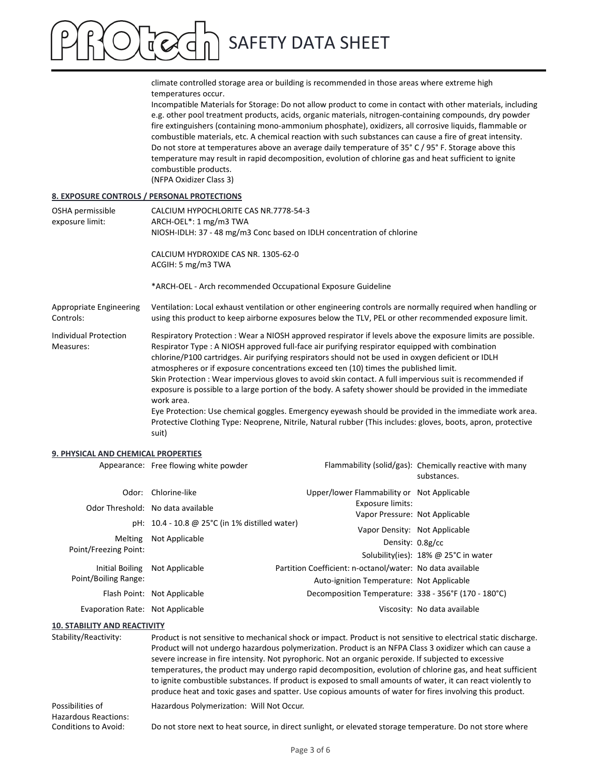climate controlled storage area or building is recommended in those areas where extreme high temperatures occur.

Incompatible Materials for Storage: Do not allow product to come in contact with other materials, including e.g. other pool treatment products, acids, organic materials, nitrogen‐containing compounds, dry powder fire extinguishers (containing mono‐ammonium phosphate), oxidizers, all corrosive liquids, flammable or combustible materials, etc. A chemical reaction with such substances can cause a fire of great intensity. Do not store at temperatures above an average daily temperature of 35° C / 95° F. Storage above this temperature may result in rapid decomposition, evolution of chlorine gas and heat sufficient to ignite combustible products. (NFPA Oxidizer Class 3)

### **8. EXPOSURE CONTROLS / PERSONAL PROTECTIONS**

| OSHA permissible<br>exposure limit:         | CALCIUM HYPOCHLORITE CAS NR.7778-54-3<br>ARCH-OEL*: 1 mg/m3 TWA<br>NIOSH-IDLH: 37 - 48 mg/m3 Conc based on IDLH concentration of chlorine                                                                                                                                                                                                                                                                                                                                                                                                                                                                                                                                                                                                                                                                                                                                           |
|---------------------------------------------|-------------------------------------------------------------------------------------------------------------------------------------------------------------------------------------------------------------------------------------------------------------------------------------------------------------------------------------------------------------------------------------------------------------------------------------------------------------------------------------------------------------------------------------------------------------------------------------------------------------------------------------------------------------------------------------------------------------------------------------------------------------------------------------------------------------------------------------------------------------------------------------|
|                                             | CALCIUM HYDROXIDE CAS NR. 1305-62-0<br>ACGIH: 5 mg/m3 TWA                                                                                                                                                                                                                                                                                                                                                                                                                                                                                                                                                                                                                                                                                                                                                                                                                           |
|                                             | *ARCH-OEL - Arch recommended Occupational Exposure Guideline                                                                                                                                                                                                                                                                                                                                                                                                                                                                                                                                                                                                                                                                                                                                                                                                                        |
| <b>Appropriate Engineering</b><br>Controls: | Ventilation: Local exhaust ventilation or other engineering controls are normally required when handling or<br>using this product to keep airborne exposures below the TLV, PEL or other recommended exposure limit.                                                                                                                                                                                                                                                                                                                                                                                                                                                                                                                                                                                                                                                                |
| Individual Protection<br>Measures:          | Respiratory Protection: Wear a NIOSH approved respirator if levels above the exposure limits are possible.<br>Respirator Type : A NIOSH approved full-face air purifying respirator equipped with combination<br>chlorine/P100 cartridges. Air purifying respirators should not be used in oxygen deficient or IDLH<br>atmospheres or if exposure concentrations exceed ten (10) times the published limit.<br>Skin Protection: Wear impervious gloves to avoid skin contact. A full impervious suit is recommended if<br>exposure is possible to a large portion of the body. A safety shower should be provided in the immediate<br>work area.<br>Eye Protection: Use chemical goggles. Emergency eyewash should be provided in the immediate work area.<br>Protective Clothing Type: Neoprene, Nitrile, Natural rubber (This includes: gloves, boots, apron, protective<br>suit) |

### **9. PHYSICAL AND CHEMICAL PROPERTIES**

|                                  | Appearance: Free flowing white powder          |                                                           | Flammability (solid/gas): Chemically reactive with many<br>substances. |
|----------------------------------|------------------------------------------------|-----------------------------------------------------------|------------------------------------------------------------------------|
|                                  | Odor: Chlorine-like                            | Upper/lower Flammability or Not Applicable                |                                                                        |
|                                  | Odor Threshold: No data available              | Exposure limits:                                          |                                                                        |
|                                  |                                                | Vapor Pressure: Not Applicable                            |                                                                        |
|                                  | pH: 10.4 - 10.8 @ 25°C (in 1% distilled water) | Vapor Density: Not Applicable                             |                                                                        |
| Melting                          | Not Applicable                                 | Density: 0.8g/cc                                          |                                                                        |
| Point/Freezing Point:            |                                                |                                                           | Solubility(ies): 18% @ 25°C in water                                   |
| Initial Boiling                  | Not Applicable                                 | Partition Coefficient: n-octanol/water: No data available |                                                                        |
| Point/Boiling Range:             |                                                | Auto-ignition Temperature: Not Applicable                 |                                                                        |
|                                  | Flash Point: Not Applicable                    | Decomposition Temperature: 338 - 356°F (170 - 180°C)      |                                                                        |
| Evaporation Rate: Not Applicable |                                                |                                                           | Viscosity: No data available                                           |
|                                  |                                                |                                                           |                                                                        |

### **10. STABILITY AND REACTIVITY**

| Stability/Reactivity:                           | Product is not sensitive to mechanical shock or impact. Product is not sensitive to electrical static discharge.<br>Product will not undergo hazardous polymerization. Product is an NFPA Class 3 oxidizer which can cause a<br>severe increase in fire intensity. Not pyrophoric. Not an organic peroxide. If subjected to excessive<br>temperatures, the product may undergo rapid decomposition, evolution of chlorine gas, and heat sufficient<br>to ignite combustible substances. If product is exposed to small amounts of water, it can react violently to<br>produce heat and toxic gases and spatter. Use copious amounts of water for fires involving this product. |
|-------------------------------------------------|--------------------------------------------------------------------------------------------------------------------------------------------------------------------------------------------------------------------------------------------------------------------------------------------------------------------------------------------------------------------------------------------------------------------------------------------------------------------------------------------------------------------------------------------------------------------------------------------------------------------------------------------------------------------------------|
| Possibilities of<br><b>Hazardous Reactions:</b> | Hazardous Polymerization: Will Not Occur.                                                                                                                                                                                                                                                                                                                                                                                                                                                                                                                                                                                                                                      |
| Conditions to Avoid:                            | Do not store next to heat source, in direct sunlight, or elevated storage temperature. Do not store where                                                                                                                                                                                                                                                                                                                                                                                                                                                                                                                                                                      |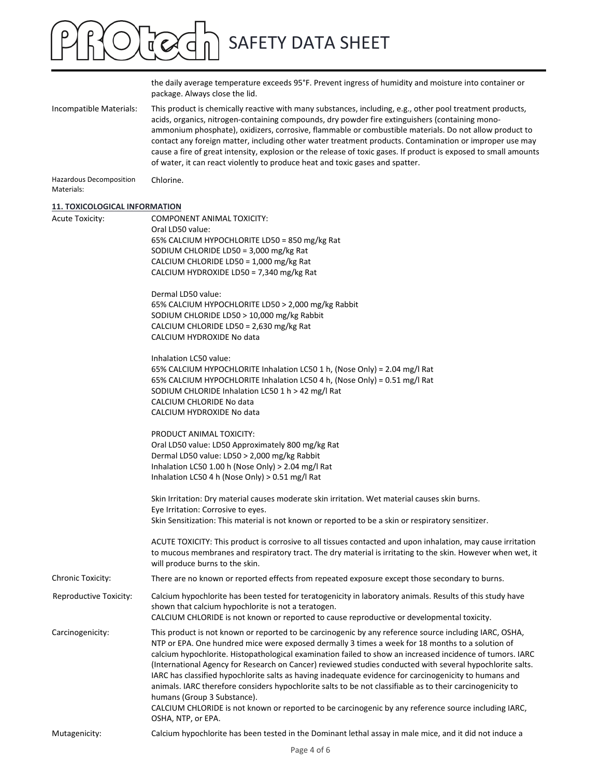## SAFETY DATA SHEET  $O(\log d)$

|                                       | the daily average temperature exceeds 95°F. Prevent ingress of humidity and moisture into container or<br>package. Always close the lid.                                                                                                                                                                                                                                                                                                                                                                                                                                                                                                                                                                                                                                                                                  |
|---------------------------------------|---------------------------------------------------------------------------------------------------------------------------------------------------------------------------------------------------------------------------------------------------------------------------------------------------------------------------------------------------------------------------------------------------------------------------------------------------------------------------------------------------------------------------------------------------------------------------------------------------------------------------------------------------------------------------------------------------------------------------------------------------------------------------------------------------------------------------|
| Incompatible Materials:               | This product is chemically reactive with many substances, including, e.g., other pool treatment products,<br>acids, organics, nitrogen-containing compounds, dry powder fire extinguishers (containing mono-<br>ammonium phosphate), oxidizers, corrosive, flammable or combustible materials. Do not allow product to<br>contact any foreign matter, including other water treatment products. Contamination or improper use may<br>cause a fire of great intensity, explosion or the release of toxic gases. If product is exposed to small amounts<br>of water, it can react violently to produce heat and toxic gases and spatter.                                                                                                                                                                                    |
| Hazardous Decomposition<br>Materials: | Chlorine.                                                                                                                                                                                                                                                                                                                                                                                                                                                                                                                                                                                                                                                                                                                                                                                                                 |
| <b>11. TOXICOLOGICAL INFORMATION</b>  |                                                                                                                                                                                                                                                                                                                                                                                                                                                                                                                                                                                                                                                                                                                                                                                                                           |
| <b>Acute Toxicity:</b>                | COMPONENT ANIMAL TOXICITY:<br>Oral LD50 value:<br>65% CALCIUM HYPOCHLORITE LD50 = 850 mg/kg Rat<br>SODIUM CHLORIDE LD50 = $3,000$ mg/kg Rat<br>CALCIUM CHLORIDE LD50 = 1,000 mg/kg Rat<br>CALCIUM HYDROXIDE LD50 = 7,340 mg/kg Rat                                                                                                                                                                                                                                                                                                                                                                                                                                                                                                                                                                                        |
|                                       | Dermal LD50 value:                                                                                                                                                                                                                                                                                                                                                                                                                                                                                                                                                                                                                                                                                                                                                                                                        |
|                                       | 65% CALCIUM HYPOCHLORITE LD50 > 2,000 mg/kg Rabbit                                                                                                                                                                                                                                                                                                                                                                                                                                                                                                                                                                                                                                                                                                                                                                        |
|                                       | SODIUM CHLORIDE LD50 > 10,000 mg/kg Rabbit                                                                                                                                                                                                                                                                                                                                                                                                                                                                                                                                                                                                                                                                                                                                                                                |
|                                       | CALCIUM CHLORIDE LD50 = 2,630 mg/kg Rat<br>CALCIUM HYDROXIDE No data                                                                                                                                                                                                                                                                                                                                                                                                                                                                                                                                                                                                                                                                                                                                                      |
|                                       |                                                                                                                                                                                                                                                                                                                                                                                                                                                                                                                                                                                                                                                                                                                                                                                                                           |
|                                       | Inhalation LC50 value:<br>65% CALCIUM HYPOCHLORITE Inhalation LC50 1 h, (Nose Only) = 2.04 mg/l Rat<br>65% CALCIUM HYPOCHLORITE Inhalation LC50 4 h, (Nose Only) = 0.51 mg/l Rat<br>SODIUM CHLORIDE Inhalation LC50 1 h > 42 mg/l Rat<br>CALCIUM CHLORIDE No data<br>CALCIUM HYDROXIDE No data                                                                                                                                                                                                                                                                                                                                                                                                                                                                                                                            |
|                                       |                                                                                                                                                                                                                                                                                                                                                                                                                                                                                                                                                                                                                                                                                                                                                                                                                           |
|                                       | PRODUCT ANIMAL TOXICITY:                                                                                                                                                                                                                                                                                                                                                                                                                                                                                                                                                                                                                                                                                                                                                                                                  |
|                                       | Oral LD50 value: LD50 Approximately 800 mg/kg Rat                                                                                                                                                                                                                                                                                                                                                                                                                                                                                                                                                                                                                                                                                                                                                                         |
|                                       | Dermal LD50 value: LD50 > 2,000 mg/kg Rabbit<br>Inhalation LC50 1.00 h (Nose Only) > 2.04 mg/l Rat                                                                                                                                                                                                                                                                                                                                                                                                                                                                                                                                                                                                                                                                                                                        |
|                                       | Inhalation LC50 4 h (Nose Only) > 0.51 mg/l Rat                                                                                                                                                                                                                                                                                                                                                                                                                                                                                                                                                                                                                                                                                                                                                                           |
|                                       |                                                                                                                                                                                                                                                                                                                                                                                                                                                                                                                                                                                                                                                                                                                                                                                                                           |
|                                       | Skin Irritation: Dry material causes moderate skin irritation. Wet material causes skin burns.<br>Eye Irritation: Corrosive to eyes.                                                                                                                                                                                                                                                                                                                                                                                                                                                                                                                                                                                                                                                                                      |
|                                       | Skin Sensitization: This material is not known or reported to be a skin or respiratory sensitizer.                                                                                                                                                                                                                                                                                                                                                                                                                                                                                                                                                                                                                                                                                                                        |
|                                       | ACUTE TOXICITY: This product is corrosive to all tissues contacted and upon inhalation, may cause irritation<br>to mucous membranes and respiratory tract. The dry material is irritating to the skin. However when wet, it<br>will produce burns to the skin.                                                                                                                                                                                                                                                                                                                                                                                                                                                                                                                                                            |
| Chronic Toxicity:                     | There are no known or reported effects from repeated exposure except those secondary to burns.                                                                                                                                                                                                                                                                                                                                                                                                                                                                                                                                                                                                                                                                                                                            |
| Reproductive Toxicity:                | Calcium hypochlorite has been tested for teratogenicity in laboratory animals. Results of this study have<br>shown that calcium hypochlorite is not a teratogen.<br>CALCIUM CHLORIDE is not known or reported to cause reproductive or developmental toxicity.                                                                                                                                                                                                                                                                                                                                                                                                                                                                                                                                                            |
| Carcinogenicity:                      | This product is not known or reported to be carcinogenic by any reference source including IARC, OSHA,<br>NTP or EPA. One hundred mice were exposed dermally 3 times a week for 18 months to a solution of<br>calcium hypochlorite. Histopathological examination failed to show an increased incidence of tumors. IARC<br>(International Agency for Research on Cancer) reviewed studies conducted with several hypochlorite salts.<br>IARC has classified hypochlorite salts as having inadequate evidence for carcinogenicity to humans and<br>animals. IARC therefore considers hypochlorite salts to be not classifiable as to their carcinogenicity to<br>humans (Group 3 Substance).<br>CALCIUM CHLORIDE is not known or reported to be carcinogenic by any reference source including IARC,<br>OSHA, NTP, or EPA. |
| Mutagenicity:                         | Calcium hypochlorite has been tested in the Dominant lethal assay in male mice, and it did not induce a                                                                                                                                                                                                                                                                                                                                                                                                                                                                                                                                                                                                                                                                                                                   |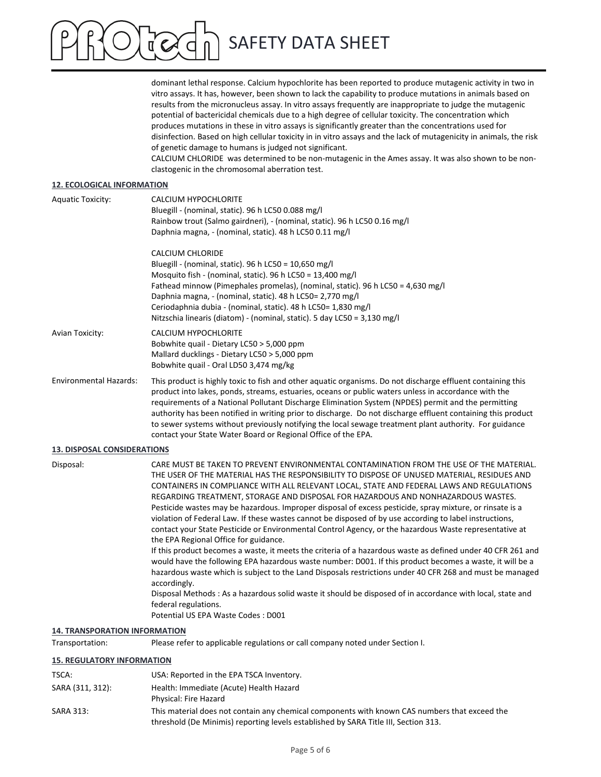dominant lethal response. Calcium hypochlorite has been reported to produce mutagenic activity in two in vitro assays. It has, however, been shown to lack the capability to produce mutations in animals based on results from the micronucleus assay. In vitro assays frequently are inappropriate to judge the mutagenic potential of bactericidal chemicals due to a high degree of cellular toxicity. The concentration which produces mutations in these in vitro assays is significantly greater than the concentrations used for disinfection. Based on high cellular toxicity in in vitro assays and the lack of mutagenicity in animals, the risk of genetic damage to humans is judged not significant.

CALCIUM CHLORIDE was determined to be non‐mutagenic in the Ames assay. It was also shown to be non‐ clastogenic in the chromosomal aberration test.

### **12. ECOLOGICAL INFORMATION**

| <b>Aquatic Toxicity:</b>      | CALCIUM HYPOCHLORITE<br>Bluegill - (nominal, static). 96 h LC50 0.088 mg/l<br>Rainbow trout (Salmo gairdneri), - (nominal, static). 96 h LC50 0.16 mg/l<br>Daphnia magna, - (nominal, static). 48 h LC50 0.11 mg/l                                                                                                                                                                                                                                                                                                                                   |
|-------------------------------|------------------------------------------------------------------------------------------------------------------------------------------------------------------------------------------------------------------------------------------------------------------------------------------------------------------------------------------------------------------------------------------------------------------------------------------------------------------------------------------------------------------------------------------------------|
|                               | <b>CALCIUM CHLORIDE</b><br>Bluegill - (nominal, static). 96 h LC50 = 10,650 mg/l<br>Mosquito fish - (nominal, static). 96 h LC50 = 13,400 mg/l<br>Fathead minnow (Pimephales promelas), (nominal, static). 96 h LC50 = 4,630 mg/l<br>Daphnia magna, - (nominal, static). 48 h LC50= 2,770 mg/l<br>Ceriodaphnia dubia - (nominal, static). 48 h LC50= 1,830 mg/l<br>Nitzschia linearis (diatom) - (nominal, static). 5 day LC50 = 3,130 mg/l                                                                                                          |
| Avian Toxicity:               | CALCIUM HYPOCHLORITE<br>Bobwhite quail - Dietary LC50 > 5,000 ppm<br>Mallard ducklings - Dietary LC50 > 5,000 ppm<br>Bobwhite quail - Oral LD50 3,474 mg/kg                                                                                                                                                                                                                                                                                                                                                                                          |
| <b>Environmental Hazards:</b> | This product is highly toxic to fish and other aquatic organisms. Do not discharge effluent containing this<br>product into lakes, ponds, streams, estuaries, oceans or public waters unless in accordance with the<br>requirements of a National Pollutant Discharge Elimination System (NPDES) permit and the permitting<br>authority has been notified in writing prior to discharge. Do not discharge effluent containing this product<br>to sewer systems without previously notifying the local sewage treatment plant authority. For guidance |

contact your State Water Board or Regional Office of the EPA.

#### **13. DISPOSAL CONSIDERATIONS**

| Disposal: | CARE MUST BE TAKEN TO PREVENT ENVIRONMENTAL CONTAMINATION FROM THE USE OF THE MATERIAL.<br>THE USER OF THE MATERIAL HAS THE RESPONSIBILITY TO DISPOSE OF UNUSED MATERIAL. RESIDUES AND                                  |
|-----------|-------------------------------------------------------------------------------------------------------------------------------------------------------------------------------------------------------------------------|
|           | CONTAINERS IN COMPLIANCE WITH ALL RELEVANT LOCAL, STATE AND FEDERAL LAWS AND REGULATIONS                                                                                                                                |
|           | REGARDING TREATMENT, STORAGE AND DISPOSAL FOR HAZARDOUS AND NONHAZARDOUS WASTES.                                                                                                                                        |
|           | Pesticide wastes may be hazardous. Improper disposal of excess pesticide, spray mixture, or rinsate is a                                                                                                                |
|           | violation of Federal Law. If these wastes cannot be disposed of by use according to label instructions,                                                                                                                 |
|           | contact your State Pesticide or Environmental Control Agency, or the hazardous Waste representative at                                                                                                                  |
|           | the EPA Regional Office for guidance.                                                                                                                                                                                   |
|           | If this product becomes a waste, it meets the criteria of a hazardous waste as defined under 40 CFR 261 and<br>would have the following EPA hazardous waste number: D001. If this product becomes a waste, it will be a |
|           | hazardous waste which is subject to the Land Disposals restrictions under 40 CFR 268 and must be managed<br>accordingly.                                                                                                |
|           | Disposal Methods: As a hazardous solid waste it should be disposed of in accordance with local, state and<br>federal regulations.                                                                                       |

Potential US EPA Waste Codes : D001

### **14. TRANSPORATION INFORMATION**

Transportation: Please refer to applicable regulations or call company noted under Section I.

### **15. REGULATORY INFORMATION**

| TSCA:            | USA: Reported in the EPA TSCA Inventory.                                                                                                                                             |
|------------------|--------------------------------------------------------------------------------------------------------------------------------------------------------------------------------------|
| SARA (311, 312): | Health: Immediate (Acute) Health Hazard<br>Physical: Fire Hazard                                                                                                                     |
| <b>SARA 313:</b> | This material does not contain any chemical components with known CAS numbers that exceed the<br>threshold (De Minimis) reporting levels established by SARA Title III, Section 313. |